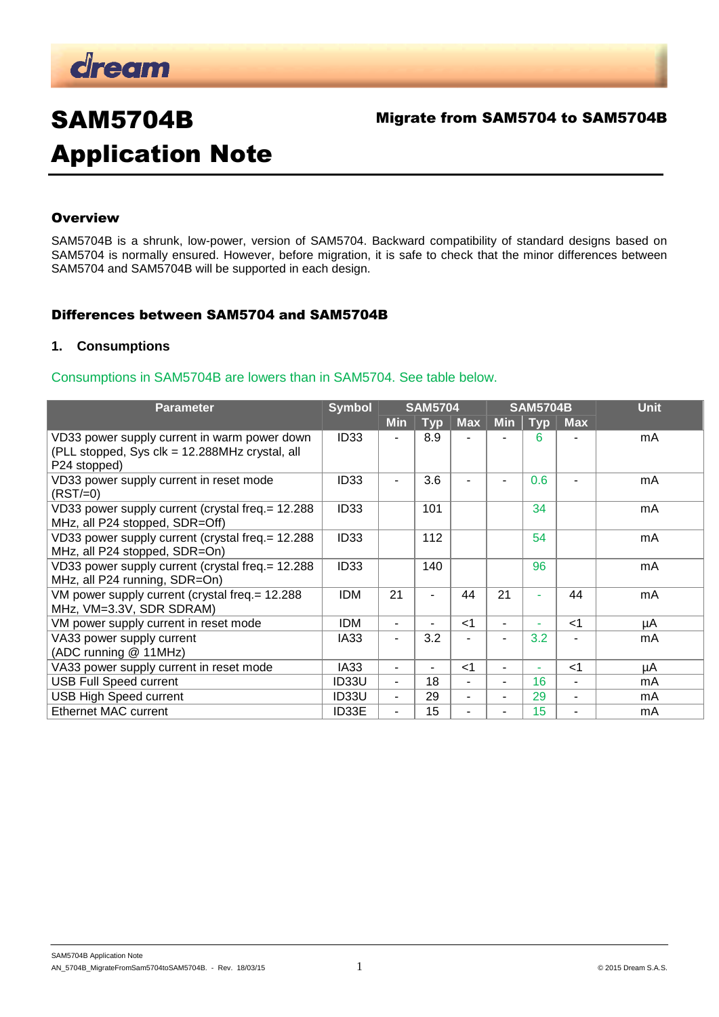

## Migrate from SAM5704 to SAM5704B

# SAM5704B Application Note

## **Overview**

SAM5704B is a shrunk, low-power, version of SAM5704. Backward compatibility of standard designs based on SAM5704 is normally ensured. However, before migration, it is safe to check that the minor differences between SAM5704 and SAM5704B will be supported in each design.

## Differences between SAM5704 and SAM5704B

#### **1. Consumptions**

#### Consumptions in SAM5704B are lowers than in SAM5704. See table below.

| <b>Parameter</b>                                                                                               | <b>Symbol</b>    |            | <b>SAM5704</b> |                | <b>SAM5704B</b> |            |            | <b>Unit</b> |
|----------------------------------------------------------------------------------------------------------------|------------------|------------|----------------|----------------|-----------------|------------|------------|-------------|
|                                                                                                                |                  | <b>Min</b> | <b>Typ</b>     | <b>Max</b>     | <b>Min</b>      | <b>Typ</b> | <b>Max</b> |             |
| VD33 power supply current in warm power down<br>(PLL stopped, Sys clk = 12.288MHz crystal, all<br>P24 stopped) | ID <sub>33</sub> |            | 8.9            |                |                 | 6          |            | mA          |
| VD33 power supply current in reset mode<br>$(RST/=0)$                                                          | ID <sub>33</sub> |            | 3.6            |                |                 | 0.6        |            | mA          |
| VD33 power supply current (crystal freq.= 12.288)<br>MHz, all P24 stopped, SDR=Off)                            | <b>ID33</b>      |            | 101            |                |                 | 34         |            | mA          |
| VD33 power supply current (crystal freq. = 12.288)<br>MHz, all P24 stopped, SDR=On)                            | ID <sub>33</sub> |            | 112            |                |                 | 54         |            | mA          |
| VD33 power supply current (crystal freq. = 12.288)<br>MHz, all P24 running, SDR=On)                            | ID <sub>33</sub> |            | 140            |                |                 | 96         |            | mA          |
| VM power supply current (crystal freq. = 12.288<br>MHz, VM=3.3V, SDR SDRAM)                                    | <b>IDM</b>       | 21         | ÷              | 44             | 21              | ٠          | 44         | mA          |
| VM power supply current in reset mode                                                                          | <b>IDM</b>       | ۰.         | ٠.             | $<$ 1          | ٠               | ۰          | $<$ 1      | μA          |
| VA33 power supply current<br>(ADC running @ 11MHz)                                                             | IA33             |            | 3.2            |                |                 | 3.2        |            | mA          |
| VA33 power supply current in reset mode                                                                        | IA33             |            | ٠              | $<$ 1          | ٠               | ٠          | $<$ 1      | μA          |
| <b>USB Full Speed current</b>                                                                                  | ID33U            |            | 18             | $\blacksquare$ | ٠               | 16         | ۰          | mA          |
| <b>USB High Speed current</b>                                                                                  | ID33U            | -          | 29             | ٠              | ٠               | 29         | ٠          | mA          |
| <b>Ethernet MAC current</b>                                                                                    | ID33E            |            | 15             | $\blacksquare$ | ٠               | 15         | ۰          | mA          |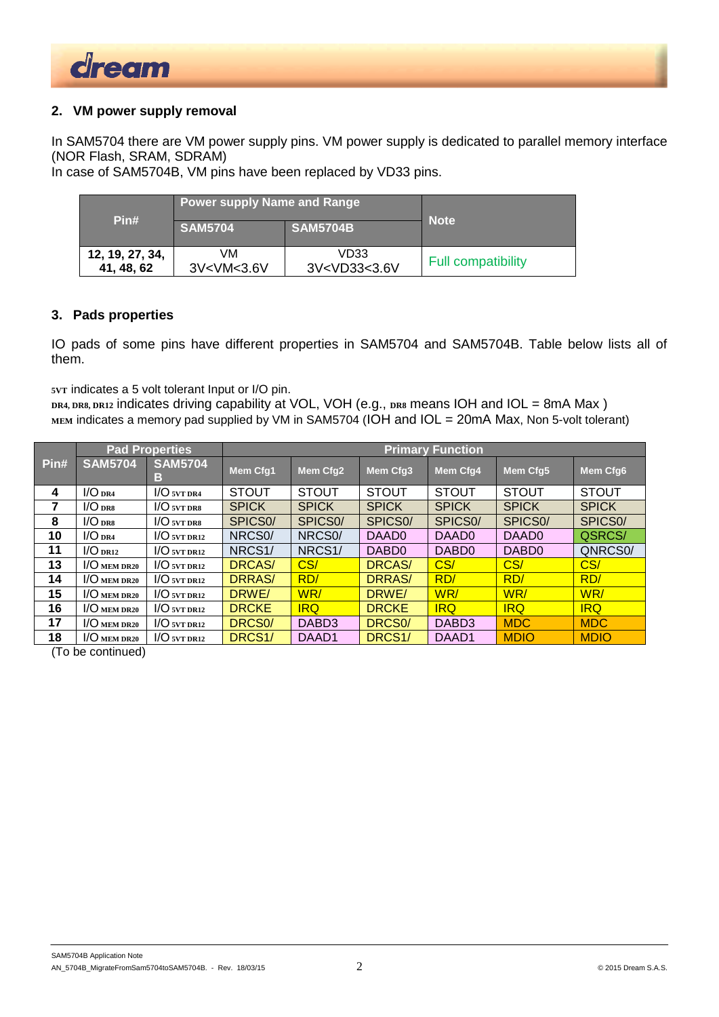

## **2. VM power supply removal**

In SAM5704 there are VM power supply pins. VM power supply is dedicated to parallel memory interface (NOR Flash, SRAM, SDRAM)

In case of SAM5704B, VM pins have been replaced by VD33 pins.

| Pin#            | Power supply Name and Range \<br><b>SAM5704</b>                                   | <b>SAM5704B</b>                             | <b>Note</b>               |
|-----------------|-----------------------------------------------------------------------------------|---------------------------------------------|---------------------------|
| 12, 19, 27, 34, | VM                                                                                | VD33                                        | <b>Full compatibility</b> |
| 41, 48, 62      | 3V <vm<3.6v< td=""><td>3V<vd33<3.6v< td=""><td></td></vd33<3.6v<></td></vm<3.6v<> | 3V <vd33<3.6v< td=""><td></td></vd33<3.6v<> |                           |

## **3. Pads properties**

IO pads of some pins have different properties in SAM5704 and SAM5704B. Table below lists all of them.

**5VT** indicates a 5 volt tolerant Input or I/O pin.

**DR4, DR8, DR12** indicates driving capability at VOL, VOH (e.g., **DR8** means IOH and IOL = 8mA Max ) MEM indicates a memory pad supplied by VM in SAM5704 (IOH and IOL = 20mA Max, Non 5-volt tolerant)

|      | <b>Pad Properties</b> |                     | <b>Primary Function</b> |                      |                      |                      |                      |                      |  |
|------|-----------------------|---------------------|-------------------------|----------------------|----------------------|----------------------|----------------------|----------------------|--|
| Pin# | <b>SAM5704</b>        | <b>SAM5704</b><br>в | <b>Mem Cfg1</b>         | Mem Cfq2             | Mem Cfq3             | <b>Mem Cfg4</b>      | <b>Mem Cfg5</b>      | <b>Mem Cfg6</b>      |  |
| 4    | $1/O$ DR4             | $I/O$ svt dra       | <b>STOUT</b>            | <b>STOUT</b>         | <b>STOUT</b>         | <b>STOUT</b>         | <b>STOUT</b>         | <b>STOUT</b>         |  |
| 7    | $1/O$ DRS             | $1/O$ svt drs       | <b>SPICK</b>            | <b>SPICK</b>         | <b>SPICK</b>         | <b>SPICK</b>         | <b>SPICK</b>         | <b>SPICK</b>         |  |
| 8    | $1/O$ DRS             | $1/O$ svt drs       | SPICS <sub>0</sub> /    | SPICS <sub>0</sub> / | SPICS <sub>0</sub> / | SPICS <sub>0</sub> / | SPICS <sub>0</sub> / | SPICS <sub>0</sub> / |  |
| 10   | $1/O$ DR4             | $1/O$ svt dr12      | NRCS <sub>0</sub> /     | NRCS <sub>0</sub> /  | DAAD0                | DAAD0                | DAAD0                | QSRCS/               |  |
| 11   | $1/O$ DR12            | $1/O$ svt dri2      | NRCS <sub>1</sub> /     | NRCS <sub>1</sub> /  | DABD <sub>0</sub>    | DABD <sub>0</sub>    | DABD <sub>0</sub>    | QNRCS0/              |  |
| 13   | $1/O$ mem dr20        | $1/O$ svt dr12      | <b>DRCAS/</b>           | CS/                  | DRCAS/               | CS/                  | CS/                  | CS/                  |  |
| 14   | $1/O$ mem dr20        | $1/O$ svt dr12      | <b>DRRAS/</b>           | RD/                  | <b>DRRAS/</b>        | RD/                  | RD/                  | RD/                  |  |
| 15   | $1/O$ mem dr20        | $1/O$ svt dr12      | DRWE/                   | WR/                  | DRWE/                | WR/                  | WR/                  | WR/                  |  |
| 16   | $1/O$ mem dr20        | $1/O$ svt dri2      | <b>DRCKE</b>            | <b>IRQ</b>           | <b>DRCKE</b>         | <b>IRQ</b>           | <b>IRQ</b>           | <b>IRQ</b>           |  |
| 17   | $1/O$ mem dr20        | $1/O$ svt dr12      | DRCS <sub>0</sub> /     | DABD3                | DRCS <sub>0</sub> /  | DAB <sub>D3</sub>    | <b>MDC</b>           | <b>MDC</b>           |  |
| 18   | $1/O$ mem dr20        | $1/O$ svt dr12      | DRCS <sub>1</sub> /     | DAAD <sub>1</sub>    | DRCS <sub>1</sub> /  | DAAD1                | <b>MDIO</b>          | <b>MDIO</b>          |  |

(To be continued)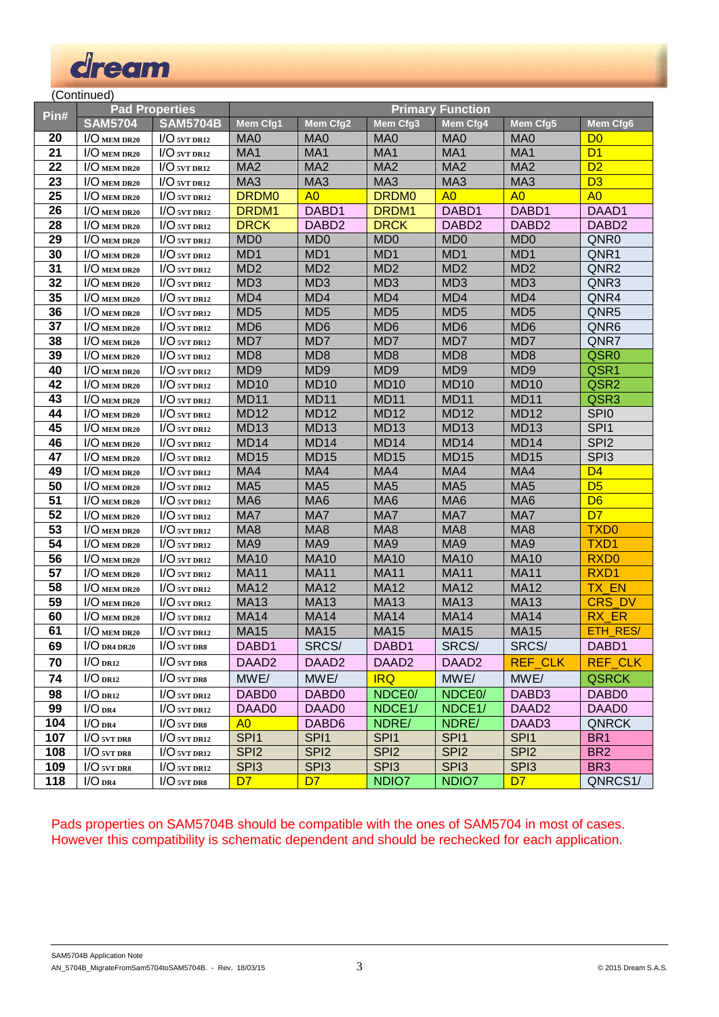

(Continued)

| Pin# | <b>Pad Properties</b>                   |                 | <b>Primary Function</b> |                      |                           |                     |                      |                   |  |  |
|------|-----------------------------------------|-----------------|-------------------------|----------------------|---------------------------|---------------------|----------------------|-------------------|--|--|
|      | <b>SAM5704</b>                          | <b>SAM5704B</b> | Mem Cfg1                | Mem Cfg2             | Mem Cfg3                  | Mem Cfg4            | Mem Cfg5             | Mem Cfg6          |  |  |
| 20   | $1/O$ mem $DR20$                        | $I/O$ 5VT DR12  | <b>MOSS</b>             | <b><i>MASS</i></b>   | <b><i><u>MARA</u></i></b> | MAQ                 | <b>NOPAS</b>         | D <sub>0</sub>    |  |  |
| 21   | $1/O$ mem $DR20$                        | $I/O$ 5VT DR12  | <b>MAX</b>              | <b><i>MERSIA</i></b> | <b>SKIM</b>               | <b>M</b>            | <b>MAX</b>           | D <sub>1</sub>    |  |  |
| 22   | $1/O$ mem dr20                          | $I/O$ 5VT DR12  | <b>MEZ</b>              | s Series             | <b>SSP</b>                | <b>SSS</b>          | MX                   | D2                |  |  |
| 23   | $1/O$ mem $DR20$                        | $I/O$ svt dr12  | MX                      | <b>MA</b>            | <b>MA</b>                 | <b>MAS</b>          | <b><i>MERSIA</i></b> | D <sub>3</sub>    |  |  |
| 25   | $1/O$ mem $DR20$                        | $I/O$ svt dr12  | <b>DRDM0</b>            | A <sub>0</sub>       | <b>DRDM0</b>              | A <sub>0</sub>      | A <sub>0</sub>       | A <sub>0</sub>    |  |  |
| 26   | $1/O$ mem $DR20$                        | $I/O$ svt DR12  | DRDM1                   | DABD1                | DRDM1                     | DABD1               | DABD1                | DAAD1             |  |  |
| 28   | $\textsf{I}/\textsf{O}\xspace$ mem dr20 | $I/O$ svt DR12  | <b>DRCK</b>             | DABD <sub>2</sub>    | <b>DRCK</b>               | DABD <sub>2</sub>   | DABD <sub>2</sub>    | DABD <sub>2</sub> |  |  |
| 29   | $1/O$ mem dr20                          | $1/O$ svt DR12  | <b>MOO</b>              | <b>STATE</b>         | <b>SKOS</b>               | <b>MDO</b>          | <b>MSOS</b>          | QNR <sub>0</sub>  |  |  |
| 30   | $1/O$ mem dr20                          | $I/O$ svt DR12  | <b>MO</b>               | <b>MO</b>            | <b>SSS</b>                | <b>MS</b>           | <b>W</b>             | QNR1              |  |  |
| 31   | $1/O$ mem dr20                          | $I/O$ svt DR12  | <b>MSZ</b>              | <b>SSS</b>           | <b>MSZ</b>                | <b>SSS</b>          | <b>MST</b>           | QNR <sub>2</sub>  |  |  |
| 32   | $1/O$ mem dr20                          | $I/O$ svt DR12  | <b>MOZ</b>              | <b>SENT</b>          | <b>SSS</b>                | <b>MO2</b>          | <b>SSS</b>           | QNR3              |  |  |
| 35   | $\textsf{I}/\textsf{O}\xspace$ mem dr20 | $I/O$ svt DR12  | <b>SENTA</b>            | WOA                  | <b>SENIA</b>              | <b>MOZ</b>          | <b>NITO A</b>        | QNR4              |  |  |
| 36   | $1/O$ mem $DR20$                        | $1/O$ svt DR12  | <b>MOSS</b>             | <b>STATE</b>         | <b>MOSS</b>               | <b>STATE</b>        | <b>MOS</b>           | QNR <sub>5</sub>  |  |  |
| 37   | $1/O$ mem $DR20$                        | $I/O$ svt DR12  | <b>MOC</b>              | 888. S               | <b>MOC</b>                | <b>MOSE</b>         | <b>MOS</b>           | QNR6              |  |  |
| 38   | $1/O$ mem $DR20$                        | $I/O$ svt DR12  | <u>SSS 7</u>            | <b>STATE</b>         | <b>SSS</b>                | <b>MOTO</b>         | <b>NEW</b>           | QNR7              |  |  |
| 39   | $\textsf{I}/\textsf{O}\xspace$ mem dr20 | $I/O$ svt DR12  | <b>MOS</b>              | <b>STATE</b>         | MDS                       | <b>STAR</b>         | <b>MOS</b>           | QSR <sub>0</sub>  |  |  |
| 40   | $1/O$ mem $DR20$                        | $1/O$ svt DR12  | <b>MOS</b>              | <b>STANDAR</b>       | <b>MOS</b>                | <b>MOSS</b>         | <b>MOS</b>           | QSR1              |  |  |
| 42   | $1/O$ mem $DR20$                        | $I/O$ svt DR12  | <b>MDA</b>              | <b>MOX</b>           | <b>MDA</b>                | <b>MOZAS</b>        | <b>MOX</b>           | QSR <sub>2</sub>  |  |  |
| 43   | $1/O$ mem $DR20$                        | $I/O$ svt DR12  | <b>SOST</b>             | <b>MOX</b>           | <b>SOST</b>               | <b>MOX</b>          | <b>NEW YORK</b>      | QSR3              |  |  |
| 44   | $\textsf{I}/\textsf{O}\xspace$ mem dr20 | $I/O$ svt DR12  | <b>MEZZ</b>             | <b>MEXIC</b>         | <b>MOZZ</b>               | <b>MEXES</b>        | <b>MOX</b>           | SPI <sub>0</sub>  |  |  |
| 45   | $1/O$ mem dr20                          | $I/O$ svt DR12  | <b>MDA</b>              | <b>MOA</b>           | <b>WDA</b>                | <b>MOAS</b>         | <b>MOZZ</b>          | SPI <sub>1</sub>  |  |  |
| 46   | $1/O$ mem $DR20$                        | $I/O$ svt DR12  | <b><i>MCSA</i></b>      | <b>MOX</b>           | <b>MOZZ</b>               | <b>MO</b>           | <b>MEZZE</b>         | SPI <sub>2</sub>  |  |  |
| 47   | $1/O$ mem $DR20$                        | $I/O$ svt DR12  | <b>MOZZE</b>            | <b>MDA5</b>          | <b>MOZZ</b>               | <b>MOZZ</b>         | <b>MOXS</b>          | SPI <sub>3</sub>  |  |  |
| 49   | $1/O$ mem $DR20$                        | $I/O$ svt DR12  | <b>Stereo</b>           | MAA                  | <b>Stereo</b>             | <b>SSSP</b>         | MA                   | D <sub>4</sub>    |  |  |
| 50   | $\textsf{I}/\textsf{O}\xspace$ mem dr20 | $I/O$ svt DR12  | MAS                     | WAS                  | <b>MAS</b>                | <b>MAS</b>          | <b><i>MERES</i></b>  | D <sub>5</sub>    |  |  |
| 51   | $1/O$ mem $DR20$                        | $1/O$ svt DR12  | <b><i>MEAS</i></b>      | <b>WAS</b>           | WAS                       | MAG                 | <b>SSPSS</b>         | D <sub>6</sub>    |  |  |
| 52   | $1/O$ mem $DR20$                        | $I/O$ svt DR12  | SS PA                   | MEZ                  | SS PA                     | ssie i              | MX                   | D <sub>7</sub>    |  |  |
| 53   | $1/O$ mem dr20                          | $I/O$ svt DR12  | WX                      | <b>WAS</b>           | MAS                       | MAS                 | ₩                    | <b>TXD0</b>       |  |  |
| 54   | $1/O$ mem dr20                          | $I/O$ svt DR12  | <b>SKIPS</b>            | <b>STAND</b>         | <b>SKIPS</b>              | MAS                 | <b>SSPS</b>          | TXD1              |  |  |
| 56   | $1/O$ mem dr20                          | $1/O$ svt DR12  | MAX                     | <b>MAX</b>           | <b>MAX</b>                | <b>MAX</b>          | <b>MAX</b>           | RXD <sub>0</sub>  |  |  |
| 57   | $1/O$ mem dr20                          | $I/O$ svt DR12  | <b>MEXIC</b>            | <b>MAX</b>           | <b>MEXIC</b>              | <b>Sternes</b>      | <b>MEXICA</b>        | RXD1              |  |  |
| 58   | $1/O$ mem dr20                          | $I/O$ svt DR12  | <b>SERVIT</b>           | <b>WEB</b>           | <b>MEXIC</b>              | <b>SSG-X2</b>       | <b>SSP</b>           | <b>TX EN</b>      |  |  |
| 59   | $1/O$ mem dr20                          | $I/O$ svt DR12  | <b>SERVIT</b>           | <b>WAX</b>           | <b>MAX</b>                | <b><i>MEXIS</i></b> | <b>SSE</b>           | CRS DV            |  |  |
| 60   | $1/O$ mem dr20                          | $I/O$ svt DR12  | <b><i>MEXICA</i></b>    | <b>MA</b>            | <b><i>MEXICA</i></b>      | <b><i>MEXIL</i></b> | <b>MEXIA</b>         | RX ER             |  |  |
| 61   | $1/O$ mem dr20                          | $I/O$ svt dr12  | <b>MAX</b>              | <b>MA</b>            | <b>MEXIS</b>              | <b>MA</b>           | <b>SSP</b>           | ETH_RES/          |  |  |
| 69   | $I/O$ DR4 DR20                          | $I/O$ svt drs   | DABD1                   | SRCS/                | DABD1                     | SRCS/               | SRCS/                | DABD1             |  |  |
| 70   | $I/O$ DR12                              | $1/O$ svt DR8   | DAAD <sub>2</sub>       | DAAD <sub>2</sub>    | DAAD <sub>2</sub>         | DAAD <sub>2</sub>   | <b>REF_CLK</b>       | REF_CLK           |  |  |
| 74   | $I/O_{DR12}$                            | $I/O$ svt drs   | MWE/                    | MWE/                 | <b>IRQ</b>                | MWE/                | MWE/                 | <b>QSRCK</b>      |  |  |
| 98   | $I/O$ DR12                              | $1/O$ svt dr12  | DABD0                   | DABD0                | NDCE <sub>0</sub> /       | NDCE <sub>0</sub> / | DABD3                | DABD0             |  |  |
| 99   | I/O <sub>DR4</sub>                      | $I/O$ svt DR12  | DAAD0                   | DAAD0                | NDCE1/                    | NDCE1/              | DAAD <sub>2</sub>    | DAAD0             |  |  |
| 104  | I/O <sub>DR4</sub>                      | $I/O$ svt drs   | A <sub>0</sub>          | DABD <sub>6</sub>    | NDRE/                     | NDRE/               | DAAD <sub>3</sub>    | <b>QNRCK</b>      |  |  |
| 107  | $I/O$ svt drs                           | $I/O$ svt dr12  | SPI <sub>1</sub>        | SPI <sub>1</sub>     | SPI <sub>1</sub>          | SPI <sub>1</sub>    | SPI <sub>1</sub>     | BR <sub>1</sub>   |  |  |
|      |                                         |                 |                         |                      |                           |                     |                      |                   |  |  |

Pads properties on SAM5704B should be compatible with the ones of SAM5704 in most of cases. However this compatibility is schematic dependent and should be rechecked for each application.

 I/O **5VT DR8** I/O **5VT DR12** SPI2 SPI2 SPI2 SPI2 SPI2 BR2 I/O **5VT DR8** I/O **5VT DR12** SPI3 SPI3 SPI3 SPI3 SPI3 BR3 I/O **DR4** I/O **5VT DR8** D7 D7 NDIO7 NDIO7 D7 QNRCS1/